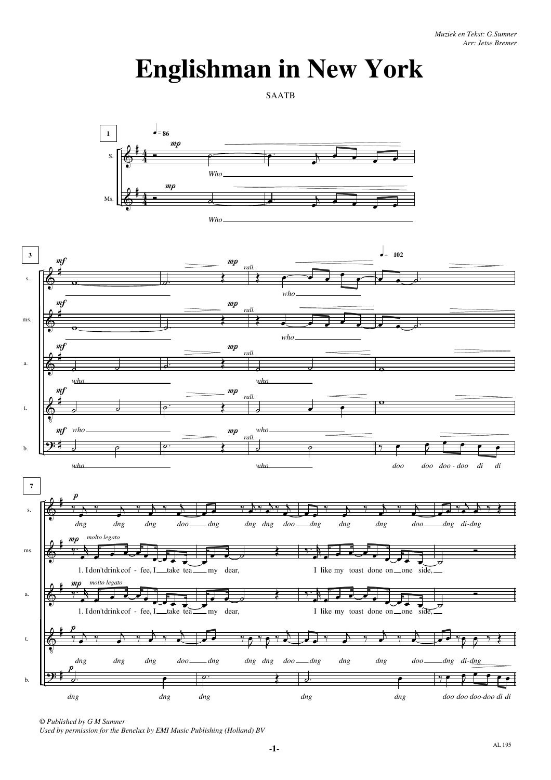## **Englishman in New York**

SAATB





© *Published by G M Sumner*

*Used by permission for the Benelux by EMI Music Publishing (Holland) BV*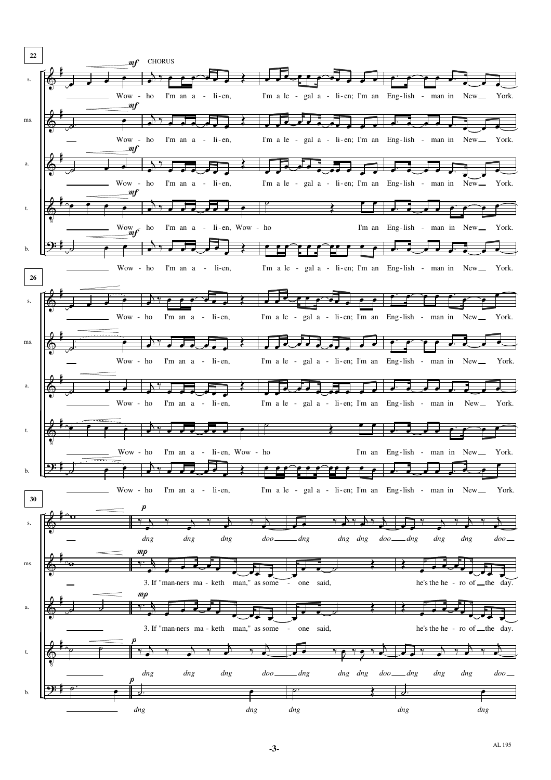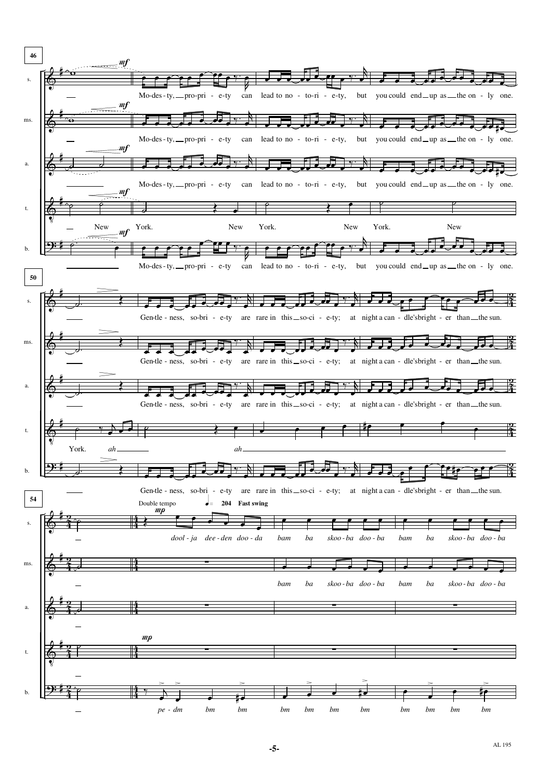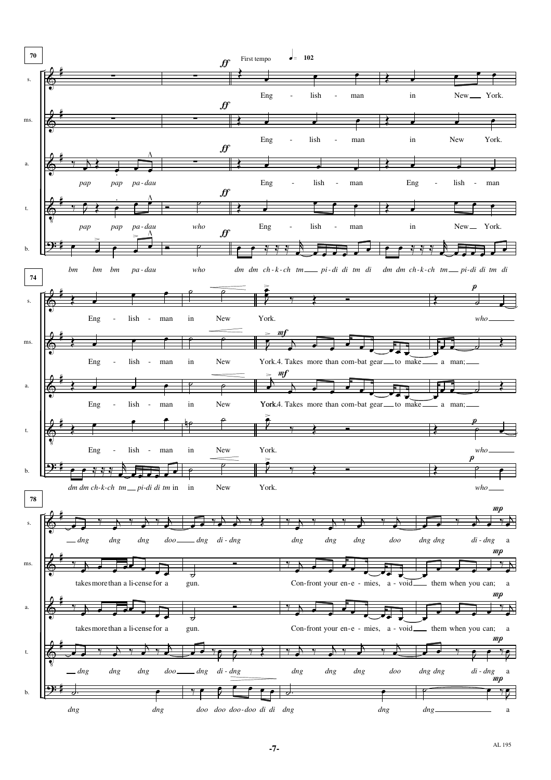